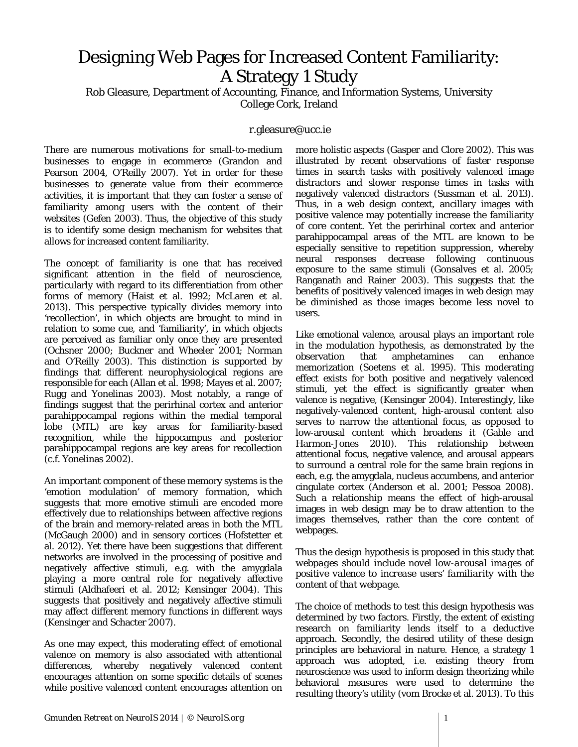## Designing Web Pages for Increased Content Familiarity: A Strategy 1 Study

Rob Gleasure, Department of Accounting, Finance, and Information Systems, University College Cork, Ireland

## r.gleasure@ucc.ie

There are numerous motivations for small-to-medium businesses to engage in ecommerce (Grandon and Pearson 2004, O'Reilly 2007). Yet in order for these businesses to generate value from their ecommerce activities, it is important that they can foster a sense of familiarity among users with the content of their websites (Gefen 2003). Thus, the objective of this study is to identify some design mechanism for websites that allows for increased content familiarity.

The concept of familiarity is one that has received significant attention in the field of neuroscience, particularly with regard to its differentiation from other forms of memory (Haist et al. 1992; McLaren et al. 2013). This perspective typically divides memory into 'recollection', in which objects are brought to mind in relation to some cue, and 'familiarity', in which objects are perceived as familiar only once they are presented (Ochsner 2000; Buckner and Wheeler 2001; Norman and O'Reilly 2003). This distinction is supported by findings that different neurophysiological regions are responsible for each (Allan et al. 1998; Mayes et al. 2007; Rugg and Yonelinas 2003). Most notably, a range of findings suggest that the perirhinal cortex and anterior parahippocampal regions within the medial temporal lobe (MTL) are key areas for familiarity-based recognition, while the hippocampus and posterior parahippocampal regions are key areas for recollection (c.f. Yonelinas 2002).

An important component of these memory systems is the 'emotion modulation' of memory formation, which suggests that more emotive stimuli are encoded more effectively due to relationships between affective regions of the brain and memory-related areas in both the MTL (McGaugh 2000) and in sensory cortices (Hofstetter et al. 2012). Yet there have been suggestions that different networks are involved in the processing of positive and negatively affective stimuli, e.g. with the amygdala playing a more central role for negatively affective stimuli (Aldhafeeri et al. 2012; Kensinger 2004). This suggests that positively and negatively affective stimuli may affect different memory functions in different ways (Kensinger and Schacter 2007).

As one may expect, this moderating effect of emotional valence on memory is also associated with attentional differences, whereby negatively valenced content encourages attention on some specific details of scenes while positive valenced content encourages attention on more holistic aspects (Gasper and Clore 2002). This was illustrated by recent observations of faster response times in search tasks with positively valenced image distractors and slower response times in tasks with negatively valenced distractors (Sussman et al. 2013). Thus, in a web design context, ancillary images with positive valence may potentially increase the familiarity of core content. Yet the perirhinal cortex and anterior parahippocampal areas of the MTL are known to be especially sensitive to repetition suppression, whereby neural responses decrease following continuous exposure to the same stimuli (Gonsalves et al. 2005; Ranganath and Rainer 2003). This suggests that the benefits of positively valenced images in web design may be diminished as those images become less novel to users.

Like emotional valence, arousal plays an important role in the modulation hypothesis, as demonstrated by the observation that amphetamines can enhance memorization (Soetens et al. 1995). This moderating effect exists for both positive and negatively valenced stimuli, yet the effect is significantly greater when valence is negative, (Kensinger 2004). Interestingly, like negatively-valenced content, high-arousal content also serves to narrow the attentional focus, as opposed to low-arousal content which broadens it (Gable and Harmon-Jones 2010). This relationship between attentional focus, negative valence, and arousal appears to surround a central role for the same brain regions in each, e.g. the amygdala, nucleus accumbens, and anterior cingulate cortex (Anderson et al. 2001; Pessoa 2008). Such a relationship means the effect of high-arousal images in web design may be to draw attention to the images themselves, rather than the core content of webpages.

Thus the design hypothesis is proposed in this study that *webpages should include novel low-arousal images of positive valence to increase users' familiarity with the content of that webpage*.

The choice of methods to test this design hypothesis was determined by two factors. Firstly, the extent of existing research on familiarity lends itself to a deductive approach. Secondly, the desired utility of these design principles are behavioral in nature. Hence, a strategy 1 approach was adopted, i.e. existing theory from neuroscience was used to inform design theorizing while behavioral measures were used to determine the resulting theory's utility (vom Brocke et al. 2013). To this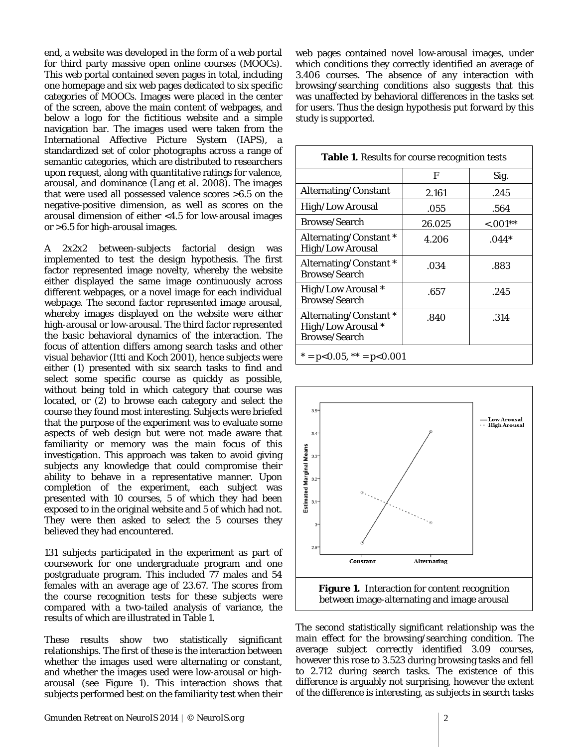end, a website was developed in the form of a web portal for third party massive open online courses (MOOCs). This web portal contained seven pages in total, including one homepage and six web pages dedicated to six specific categories of MOOCs. Images were placed in the center of the screen, above the main content of webpages, and below a logo for the fictitious website and a simple navigation bar. The images used were taken from the International Affective Picture System (IAPS), a standardized set of color photographs across a range of semantic categories, which are distributed to researchers upon request, along with quantitative ratings for valence, arousal, and dominance (Lang et al. 2008). The images that were used all possessed valence scores >6.5 on the negative-positive dimension, as well as scores on the arousal dimension of either <4.5 for low-arousal images or >6.5 for high-arousal images.

A 2x2x2 between-subjects factorial design was implemented to test the design hypothesis. The first factor represented image novelty, whereby the website either displayed the same image continuously across different webpages, or a novel image for each individual webpage. The second factor represented image arousal, whereby images displayed on the website were either high-arousal or low-arousal. The third factor represented the basic behavioral dynamics of the interaction. The focus of attention differs among search tasks and other visual behavior (Itti and Koch 2001), hence subjects were either (1) presented with six search tasks to find and select some specific course as quickly as possible, without being told in which category that course was located, or (2) to browse each category and select the course they found most interesting. Subjects were briefed that the purpose of the experiment was to evaluate some aspects of web design but were not made aware that familiarity or memory was the main focus of this investigation. This approach was taken to avoid giving subjects any knowledge that could compromise their ability to behave in a representative manner. Upon completion of the experiment, each subject was presented with 10 courses, 5 of which they had been exposed to in the original website and 5 of which had not. They were then asked to select the 5 courses they believed they had encountered.

131 subjects participated in the experiment as part of coursework for one undergraduate program and one postgraduate program. This included 77 males and 54 females with an average age of 23.67. The scores from the course recognition tests for these subjects were compared with a two-tailed analysis of variance, the results of which are illustrated in Table 1.

These results show two statistically significant relationships. The first of these is the interaction between whether the images used were alternating or constant, and whether the images used were low-arousal or higharousal (see Figure 1). This interaction shows that subjects performed best on the familiarity test when their web pages contained novel low-arousal images, under which conditions they correctly identified an average of 3.406 courses. The absence of any interaction with browsing/searching conditions also suggests that this was unaffected by behavioral differences in the tasks set for users. Thus the design hypothesis put forward by this study is supported.

| Table 1. Results for course recognition tests                        |        |             |
|----------------------------------------------------------------------|--------|-------------|
|                                                                      | F      | Sig.        |
| Alternating/Constant                                                 | 2.161  | .245        |
| <b>High/Low Arousal</b>                                              | .055   | .564        |
| <b>Browse/Search</b>                                                 | 26.025 | $< 0.001**$ |
| Alternating/Constant *<br><b>High/Low Arousal</b>                    | 4.206  | $.044*$     |
| Alternating/Constant*<br><b>Browse/Search</b>                        | .034   | .883        |
| High/Low Arousal *<br><b>Browse/Search</b>                           | .657   | .245        |
| Alternating/Constant *<br>High/Low Arousal *<br><b>Browse/Search</b> | .840   | .314        |
| $* = p<0.05$ , $** = p<0.001$                                        |        |             |



The second statistically significant relationship was the main effect for the browsing/searching condition. The average subject correctly identified 3.09 courses, however this rose to 3.523 during browsing tasks and fell to 2.712 during search tasks. The existence of this difference is arguably not surprising, however the extent of the difference is interesting, as subjects in search tasks